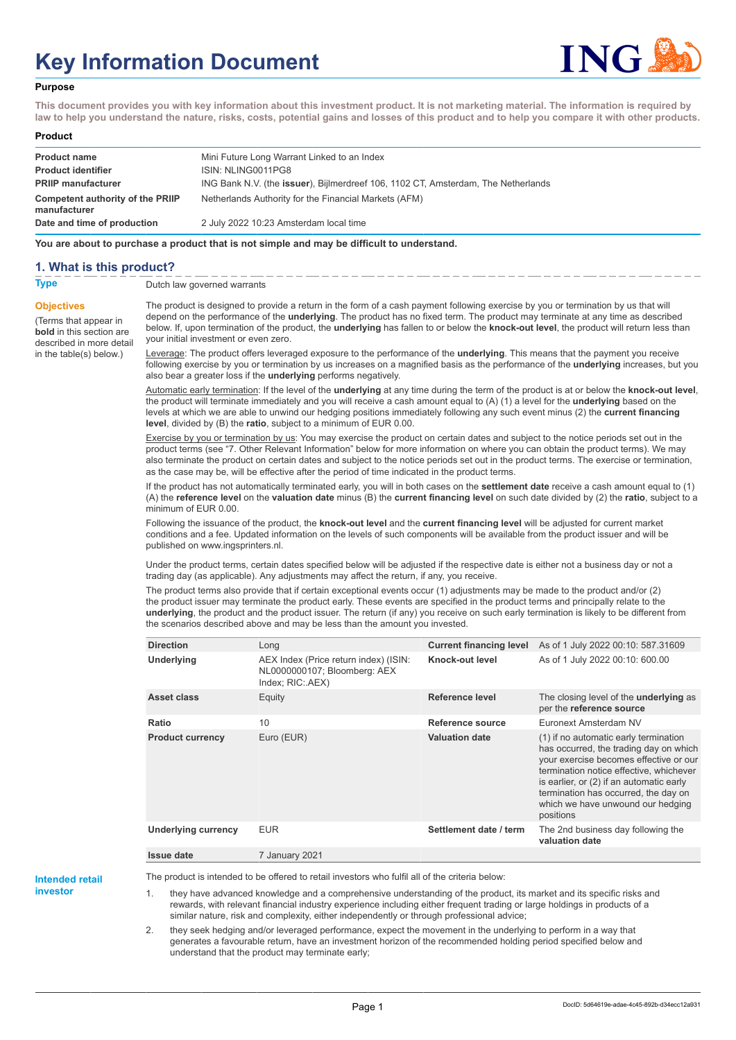# **Key Information Document**



#### **Purpose**

**This document provides you with key information about this investment product. It is not marketing material. The information is required by law to help you understand the nature, risks, costs, potential gains and losses of this product and to help you compare it with other products.**

#### **Product**

| <b>Product name</b><br><b>Product identifier</b> | Mini Future Long Warrant Linked to an Index<br>ISIN: NLING0011PG8                 |
|--------------------------------------------------|-----------------------------------------------------------------------------------|
| <b>PRIIP manufacturer</b>                        | ING Bank N.V. (the issuer), Bijlmerdreef 106, 1102 CT, Amsterdam, The Netherlands |
| Competent authority of the PRIIP<br>manufacturer | Netherlands Authority for the Financial Markets (AFM)                             |
| Date and time of production                      | 2 July 2022 10:23 Amsterdam local time                                            |

**You are about to purchase a product that is not simple and may be difficult to understand.**

#### **1. What is this product?**

**Objectives**

(Terms that appear in **bold** in this section are

in the table(s) below.)

**Type** Dutch law governed warrants

described in more detail The product is designed to provide a return in the form of a cash payment following exercise by you or termination by us that will depend on the performance of the **underlying**. The product has no fixed term. The product may terminate at any time as described below. If, upon termination of the product, the **underlying** has fallen to or below the **knock-out level**, the product will return less than your initial investment or even zero.

> Leverage: The product offers leveraged exposure to the performance of the **underlying**. This means that the payment you receive following exercise by you or termination by us increases on a magnified basis as the performance of the **underlying** increases, but you also bear a greater loss if the **underlying** performs negatively.

> Automatic early termination: If the level of the **underlying** at any time during the term of the product is at or below the **knock-out level**, the product will terminate immediately and you will receive a cash amount equal to (A) (1) a level for the **underlying** based on the levels at which we are able to unwind our hedging positions immediately following any such event minus (2) the **current financing level**, divided by (B) the **ratio**, subject to a minimum of EUR 0.00.

> Exercise by you or termination by us: You may exercise the product on certain dates and subject to the notice periods set out in the product terms (see "7. Other Relevant Information" below for more information on where you can obtain the product terms). We may also terminate the product on certain dates and subject to the notice periods set out in the product terms. The exercise or termination, as the case may be, will be effective after the period of time indicated in the product terms.

> If the product has not automatically terminated early, you will in both cases on the **settlement date** receive a cash amount equal to (1) (A) the **reference level** on the **valuation date** minus (B) the **current financing level** on such date divided by (2) the **ratio**, subject to a minimum of EUR 0.00.

Following the issuance of the product, the **knock-out level** and the **current financing level** will be adjusted for current market conditions and a fee. Updated information on the levels of such components will be available from the product issuer and will be published on www.ingsprinters.nl.

Under the product terms, certain dates specified below will be adjusted if the respective date is either not a business day or not a trading day (as applicable). Any adjustments may affect the return, if any, you receive.

The product terms also provide that if certain exceptional events occur (1) adjustments may be made to the product and/or (2) the product issuer may terminate the product early. These events are specified in the product terms and principally relate to the **underlying**, the product and the product issuer. The return (if any) you receive on such early termination is likely to be different from the scenarios described above and may be less than the amount you invested.

| <b>Direction</b>           | Long                                                                                      | <b>Current financing level</b> | As of 1 July 2022 00:10: 587.31609                                                                                                                                                                                                                                                                         |
|----------------------------|-------------------------------------------------------------------------------------------|--------------------------------|------------------------------------------------------------------------------------------------------------------------------------------------------------------------------------------------------------------------------------------------------------------------------------------------------------|
| Underlying                 | AEX Index (Price return index) (ISIN:<br>NL0000000107; Bloomberg: AEX<br>Index; RIC: AEX) | Knock-out level                | As of 1 July 2022 00:10: 600.00                                                                                                                                                                                                                                                                            |
| Asset class                | Equity                                                                                    | Reference level                | The closing level of the <b>underlying</b> as<br>per the reference source                                                                                                                                                                                                                                  |
| Ratio                      | 10                                                                                        | Reference source               | Euronext Amsterdam NV                                                                                                                                                                                                                                                                                      |
| <b>Product currency</b>    | Euro (EUR)                                                                                | <b>Valuation date</b>          | (1) if no automatic early termination<br>has occurred, the trading day on which<br>your exercise becomes effective or our<br>termination notice effective, whichever<br>is earlier, or (2) if an automatic early<br>termination has occurred, the day on<br>which we have unwound our hedging<br>positions |
| <b>Underlying currency</b> | <b>EUR</b>                                                                                | Settlement date / term         | The 2nd business day following the<br>valuation date                                                                                                                                                                                                                                                       |
| <b>Issue date</b>          | 7 January 2021                                                                            |                                |                                                                                                                                                                                                                                                                                                            |

**Intended retail**

**investor**

The product is intended to be offered to retail investors who fulfil all of the criteria below:

they have advanced knowledge and a comprehensive understanding of the product, its market and its specific risks and rewards, with relevant financial industry experience including either frequent trading or large holdings in products of a similar nature, risk and complexity, either independently or through professional advice;

2. they seek hedging and/or leveraged performance, expect the movement in the underlying to perform in a way that generates a favourable return, have an investment horizon of the recommended holding period specified below and understand that the product may terminate early;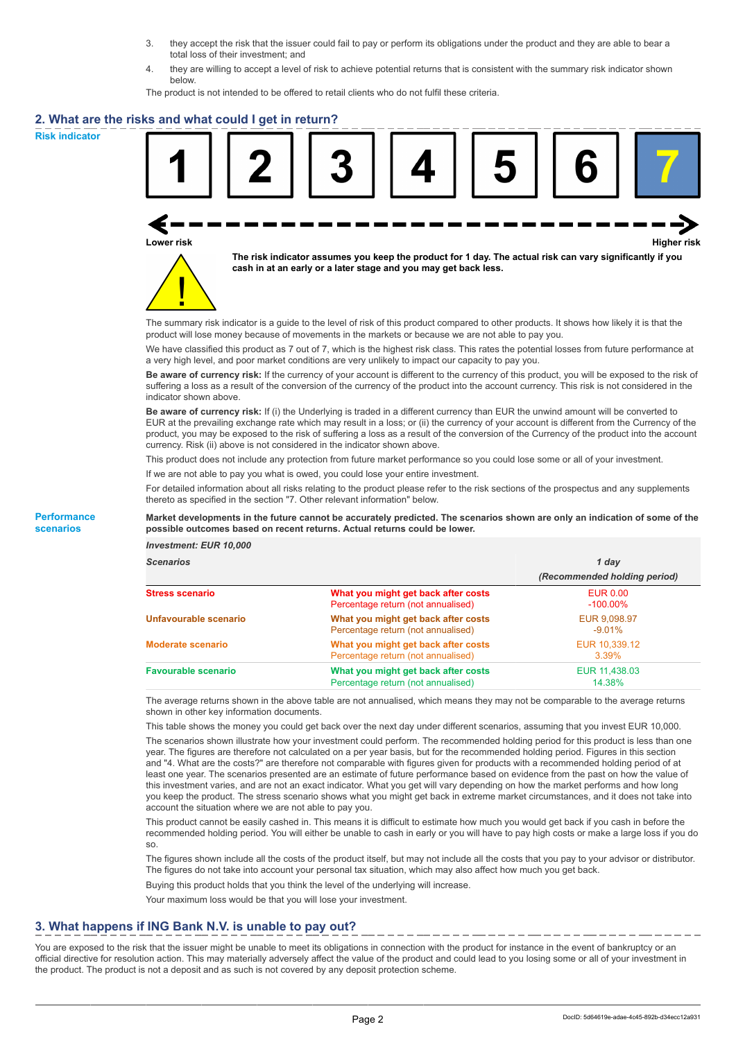- 3. they accept the risk that the issuer could fail to pay or perform its obligations under the product and they are able to bear a total loss of their investment; and
- 4. they are willing to accept a level of risk to achieve potential returns that is consistent with the summary risk indicator shown below.

The product is not intended to be offered to retail clients who do not fulfil these criteria.

#### **2. What are the risks and what could I get in return?**

**Risk indicator**

**Performance scenarios**





**The risk indicator assumes you keep the product for 1 day. The actual risk can vary significantly if you cash in at an early or a later stage and you may get back less.**

The summary risk indicator is a guide to the level of risk of this product compared to other products. It shows how likely it is that the product will lose money because of movements in the markets or because we are not able to pay you.

We have classified this product as 7 out of 7, which is the highest risk class. This rates the potential losses from future performance at a very high level, and poor market conditions are very unlikely to impact our capacity to pay you.

**Be aware of currency risk:** If the currency of your account is different to the currency of this product, you will be exposed to the risk of suffering a loss as a result of the conversion of the currency of the product into the account currency. This risk is not considered in the indicator shown above.

**Be aware of currency risk:** If (i) the Underlying is traded in a different currency than EUR the unwind amount will be converted to EUR at the prevailing exchange rate which may result in a loss; or (ii) the currency of your account is different from the Currency of the product, you may be exposed to the risk of suffering a loss as a result of the conversion of the Currency of the product into the account currency. Risk (ii) above is not considered in the indicator shown above.

This product does not include any protection from future market performance so you could lose some or all of your investment.

If we are not able to pay you what is owed, you could lose your entire investment.

For detailed information about all risks relating to the product please refer to the risk sections of the prospectus and any supplements thereto as specified in the section "7. Other relevant information" below.

#### **Market developments in the future cannot be accurately predicted. The scenarios shown are only an indication of some of the possible outcomes based on recent returns. Actual returns could be lower.**

*Investment: EUR 10,000*

| cenarios |  |  |
|----------|--|--|
|          |  |  |

| <b>Scenarios</b>           |                                                                           | 1 day                          |  |
|----------------------------|---------------------------------------------------------------------------|--------------------------------|--|
|                            |                                                                           | (Recommended holding period)   |  |
| Stress scenario            | What you might get back after costs<br>Percentage return (not annualised) | <b>EUR 0.00</b><br>$-100.00\%$ |  |
| Unfavourable scenario      | What you might get back after costs<br>Percentage return (not annualised) | EUR 9,098.97<br>$-9.01\%$      |  |
| <b>Moderate scenario</b>   | What you might get back after costs<br>Percentage return (not annualised) | EUR 10,339.12<br>$3.39\%$      |  |
| <b>Favourable scenario</b> | What you might get back after costs<br>Percentage return (not annualised) | EUR 11,438.03<br>14.38%        |  |

The average returns shown in the above table are not annualised, which means they may not be comparable to the average returns shown in other key information documents.

This table shows the money you could get back over the next day under different scenarios, assuming that you invest EUR 10,000.

The scenarios shown illustrate how your investment could perform. The recommended holding period for this product is less than one year. The figures are therefore not calculated on a per year basis, but for the recommended holding period. Figures in this section and "4. What are the costs?" are therefore not comparable with figures given for products with a recommended holding period of at least one year. The scenarios presented are an estimate of future performance based on evidence from the past on how the value of this investment varies, and are not an exact indicator. What you get will vary depending on how the market performs and how long you keep the product. The stress scenario shows what you might get back in extreme market circumstances, and it does not take into account the situation where we are not able to pay you.

This product cannot be easily cashed in. This means it is difficult to estimate how much you would get back if you cash in before the recommended holding period. You will either be unable to cash in early or you will have to pay high costs or make a large loss if you do so.

The figures shown include all the costs of the product itself, but may not include all the costs that you pay to your advisor or distributor. The figures do not take into account your personal tax situation, which may also affect how much you get back.

Buying this product holds that you think the level of the underlying will increase.

Your maximum loss would be that you will lose your investment.

## **3. What happens if ING Bank N.V. is unable to pay out?**

You are exposed to the risk that the issuer might be unable to meet its obligations in connection with the product for instance in the event of bankruptcy or an official directive for resolution action. This may materially adversely affect the value of the product and could lead to you losing some or all of your investment in the product. The product is not a deposit and as such is not covered by any deposit protection scheme.